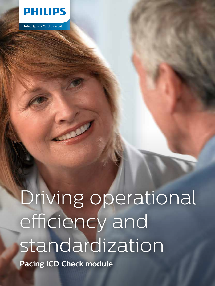

IntelliSpace Cardiovascular

# Driving operational efficiency and standardization

**Pacing ICD Check module**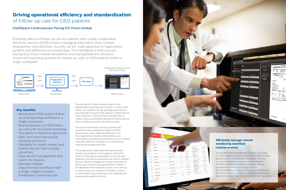

IntelliSpace Cardiovascular

Providing effective follow-up care for patients with cardiac implantable electronic devices (CIED) involves managing information from multiple programmer manufacturers, but this can be challenging due to fragmented systems and differently structured data. The IntelliSpace Cardiovascular Pacing ICD Check module streamlines and standardizes the clinician's review and reporting workflow for follow-up visits of CIED patients within a single workspace.

> The Pacing ICD Check module is part of the IntelliSpace Cardiovascular solution, in which CIED follow-up workflow can be managed and reports are presented as part of the patient's cardiovascular care continuum. Clinicians have the flexibility to create, review and finalize Pacing ICD Check reports from virtually anywhere via a web browser.

The structured reports can be automatically populated with programmer data and PDFs from the five major CIED manufacturers via the programmer interface. Alternatively, key observations and device parameters can be entered manually, while the operator is simultaneously viewing the programmer PDF.

The programmer data captured from previous checks is presented in trend graphs, where the history of key device parameters can be viewed, allowing clinicians to anticipate the need to replace devices. Device management makes it possible to easily add, remove or edit generators or leads in the database when patients receive a new device, or when a device is replaced. The device search tool facilitates easy searching in the database for patients with specific devices.



## **Driving operational efficiency and standardization** of follow-up care for CIED patients

### IntelliSpace Cardiovascular Pacing ICD Check module

#### **Key benefits**

- Streamlined CIED patient followup and reporting workflow in a single workspace
- Standardization of CIED followup care with structured reporting
- $\cdot$  The ability to import programmer data, thus reducing manual retyping and errors
- Flexibility to create, review, and finalize reports from virtually anywhere
- Easy device management and search for devices
- Manage multiple departmental workflows with a single, elegant solution: IntelliSpace Cardiovascular